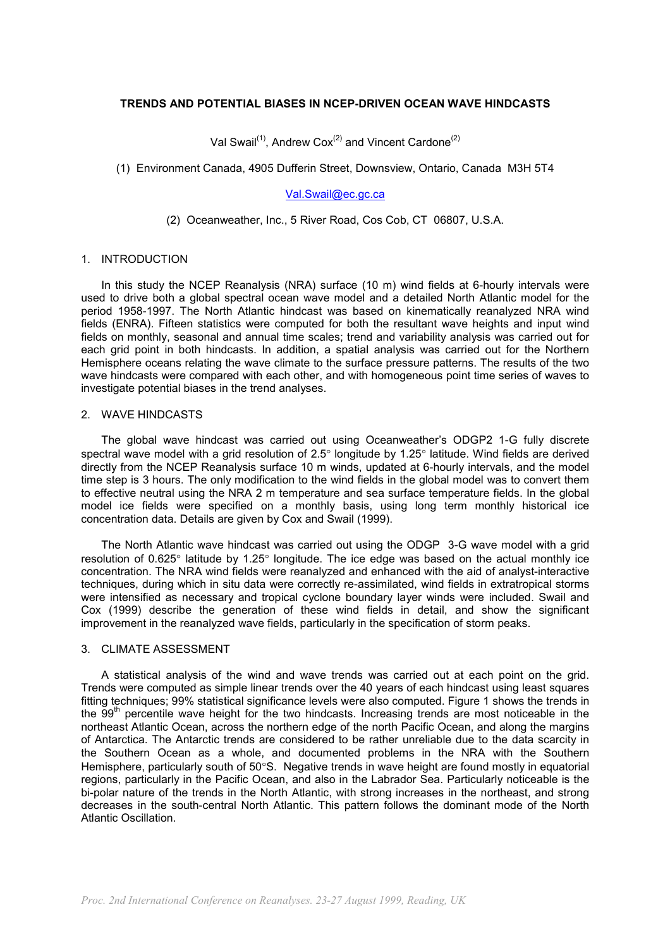#### **TRENDS AND POTENTIAL BIASES IN NCEP-DRIVEN OCEAN WAVE HINDCASTS**

Val Swail<sup>(1)</sup>, Andrew Cox<sup>(2)</sup> and Vincent Cardone<sup>(2)</sup>

## (1) Environment Canada, 4905 Dufferin Street, Downsview, Ontario, Canada M3H 5T4

# [Val.Swail@ec.gc.ca](mailto:Val.Swail@ec.gc.ca)

## (2) Oceanweather, Inc., 5 River Road, Cos Cob, CT 06807, U.S.A.

#### 1. INTRODUCTION

In this study the NCEP Reanalysis (NRA) surface (10 m) wind fields at 6-hourly intervals were used to drive both a global spectral ocean wave model and a detailed North Atlantic model for the period 1958-1997. The North Atlantic hindcast was based on kinematically reanalyzed NRA wind fields (ENRA). Fifteen statistics were computed for both the resultant wave heights and input wind fields on monthly, seasonal and annual time scales; trend and variability analysis was carried out for each grid point in both hindcasts. In addition, a spatial analysis was carried out for the Northern Hemisphere oceans relating the wave climate to the surface pressure patterns. The results of the two wave hindcasts were compared with each other, and with homogeneous point time series of waves to investigate potential biases in the trend analyses.

#### 2. WAVE HINDCASTS

The global wave hindcast was carried out using Oceanweather's ODGP2 1-G fully discrete spectral wave model with a grid resolution of 2.5° longitude by 1.25° latitude. Wind fields are derived directly from the NCEP Reanalysis surface 10 m winds, updated at 6-hourly intervals, and the model time step is 3 hours. The only modification to the wind fields in the global model was to convert them to effective neutral using the NRA 2 m temperature and sea surface temperature fields. In the global model ice fields were specified on a monthly basis, using long term monthly historical ice concentration data. Details are given by Cox and Swail (1999).

The North Atlantic wave hindcast was carried out using the ODGP 3-G wave model with a grid resolution of 0.625° latitude by 1.25° longitude. The ice edge was based on the actual monthly ice concentration. The NRA wind fields were reanalyzed and enhanced with the aid of analyst-interactive techniques, during which in situ data were correctly re-assimilated, wind fields in extratropical storms were intensified as necessary and tropical cyclone boundary layer winds were included. Swail and Cox (1999) describe the generation of these wind fields in detail, and show the significant improvement in the reanalyzed wave fields, particularly in the specification of storm peaks.

## 3. CLIMATE ASSESSMENT

A statistical analysis of the wind and wave trends was carried out at each point on the grid. Trends were computed as simple linear trends over the 40 years of each hindcast using least squares fitting techniques; 99% statistical significance levels were also computed. Figure 1 shows the trends in the 99<sup>th</sup> percentile wave height for the two hindcasts. Increasing trends are most noticeable in the northeast Atlantic Ocean, across the northern edge of the north Pacific Ocean, and along the margins of Antarctica. The Antarctic trends are considered to be rather unreliable due to the data scarcity in the Southern Ocean as a whole, and documented problems in the NRA with the Southern Hemisphere, particularly south of 50°S. Negative trends in wave height are found mostly in equatorial regions, particularly in the Pacific Ocean, and also in the Labrador Sea. Particularly noticeable is the bi-polar nature of the trends in the North Atlantic, with strong increases in the northeast, and strong decreases in the south-central North Atlantic. This pattern follows the dominant mode of the North Atlantic Oscillation.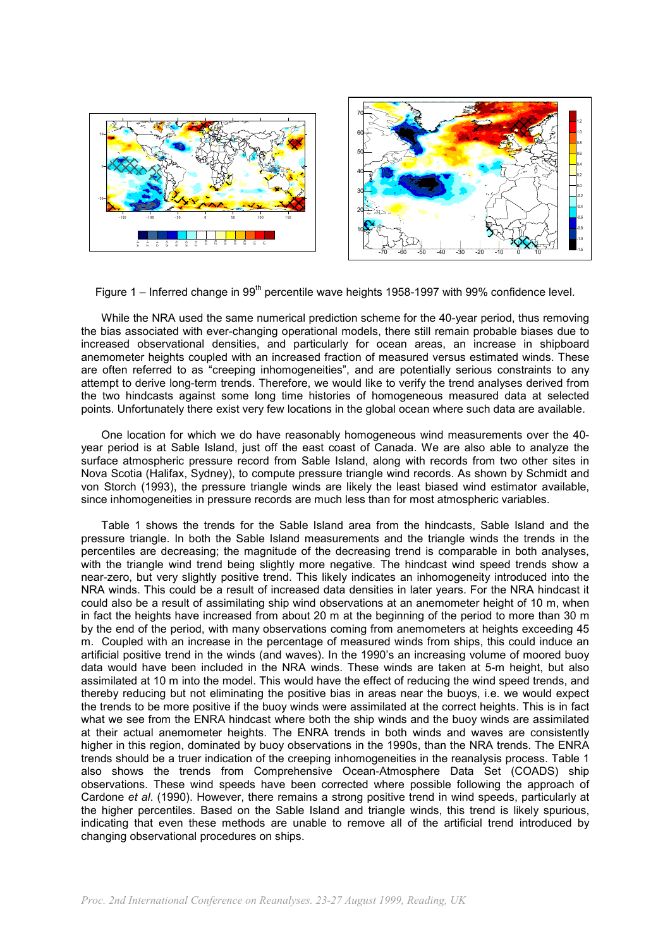

Figure 1 – Inferred change in  $99<sup>th</sup>$  percentile wave heights 1958-1997 with 99% confidence level.

While the NRA used the same numerical prediction scheme for the 40-year period, thus removing the bias associated with ever-changing operational models, there still remain probable biases due to increased observational densities, and particularly for ocean areas, an increase in shipboard anemometer heights coupled with an increased fraction of measured versus estimated winds. These are often referred to as "creeping inhomogeneities", and are potentially serious constraints to any attempt to derive long-term trends. Therefore, we would like to verify the trend analyses derived from the two hindcasts against some long time histories of homogeneous measured data at selected points. Unfortunately there exist very few locations in the global ocean where such data are available.

One location for which we do have reasonably homogeneous wind measurements over the 40 year period is at Sable Island, just off the east coast of Canada. We are also able to analyze the surface atmospheric pressure record from Sable Island, along with records from two other sites in Nova Scotia (Halifax, Sydney), to compute pressure triangle wind records. As shown by Schmidt and von Storch (1993), the pressure triangle winds are likely the least biased wind estimator available, since inhomogeneities in pressure records are much less than for most atmospheric variables.

Table 1 shows the trends for the Sable Island area from the hindcasts, Sable Island and the pressure triangle. In both the Sable Island measurements and the triangle winds the trends in the percentiles are decreasing; the magnitude of the decreasing trend is comparable in both analyses, with the triangle wind trend being slightly more negative. The hindcast wind speed trends show a near-zero, but very slightly positive trend. This likely indicates an inhomogeneity introduced into the NRA winds. This could be a result of increased data densities in later years. For the NRA hindcast it could also be a result of assimilating ship wind observations at an anemometer height of 10 m, when in fact the heights have increased from about 20 m at the beginning of the period to more than 30 m by the end of the period, with many observations coming from anemometers at heights exceeding 45 m. Coupled with an increase in the percentage of measured winds from ships, this could induce an artificial positive trend in the winds (and waves). In the 1990's an increasing volume of moored buoy data would have been included in the NRA winds. These winds are taken at 5-m height, but also assimilated at 10 m into the model. This would have the effect of reducing the wind speed trends, and thereby reducing but not eliminating the positive bias in areas near the buoys, i.e. we would expect the trends to be more positive if the buoy winds were assimilated at the correct heights. This is in fact what we see from the ENRA hindcast where both the ship winds and the buoy winds are assimilated at their actual anemometer heights. The ENRA trends in both winds and waves are consistently higher in this region, dominated by buoy observations in the 1990s, than the NRA trends. The ENRA trends should be a truer indication of the creeping inhomogeneities in the reanalysis process. Table 1 also shows the trends from Comprehensive Ocean-Atmosphere Data Set (COADS) ship observations. These wind speeds have been corrected where possible following the approach of Cardone *et al*. (1990). However, there remains a strong positive trend in wind speeds, particularly at the higher percentiles. Based on the Sable Island and triangle winds, this trend is likely spurious, indicating that even these methods are unable to remove all of the artificial trend introduced by changing observational procedures on ships.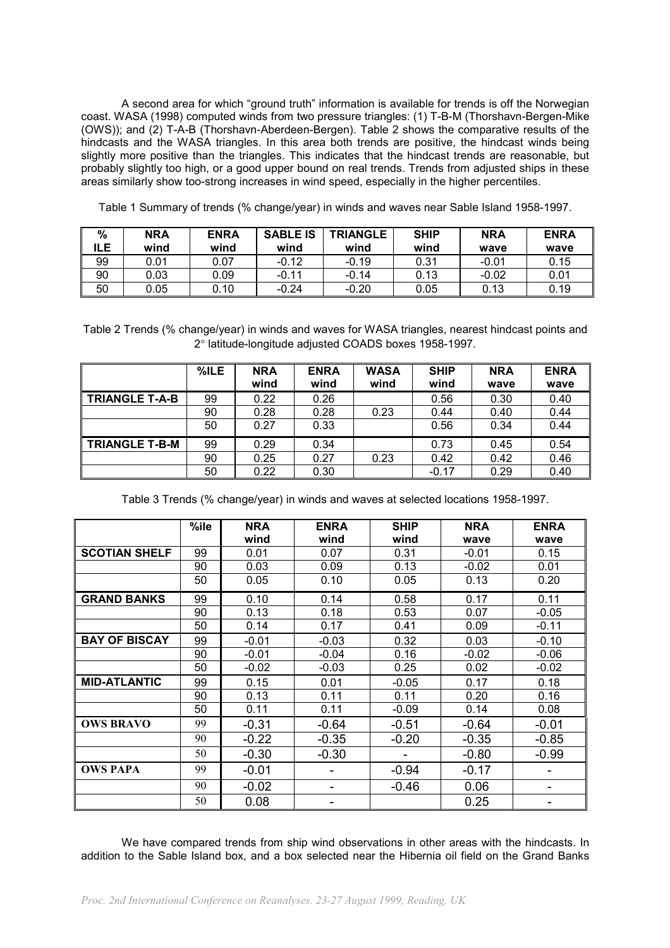A second area for which "ground truth" information is available for trends is off the Norwegian coast. WASA (1998) computed winds from two pressure triangles: (1) T-B-M (Thorshavn-Bergen-Mike (OWS)); and (2) T-A-B (Thorshavn-Aberdeen-Bergen). Table 2 shows the comparative results of the hindcasts and the WASA triangles. In this area both trends are positive, the hindcast winds being slightly more positive than the triangles. This indicates that the hindcast trends are reasonable, but probably slightly too high, or a good upper bound on real trends. Trends from adjusted ships in these areas similarly show too-strong increases in wind speed, especially in the higher percentiles.

| %<br>ILE. | <b>NRA</b><br>wind | <b>ENRA</b><br>wind | <b>SABLE IS</b><br>wind | <b>TRIANGLE</b><br>wind | <b>SHIP</b><br>wind | <b>NRA</b><br>wave | <b>ENRA</b><br>wave |
|-----------|--------------------|---------------------|-------------------------|-------------------------|---------------------|--------------------|---------------------|
| 99        | 0.01               | 0.07                | $-0.12$                 | $-0.19$                 | 0.31                | $-0.01$            | 0.15                |
| 90        | 0.03               | 0.09                | $-0.11$                 | $-0.14$                 | 0.13                | $-0.02$            | 0.01                |
| 50        | 0.05               | 0.10                | $-0.24$                 | $-0.20$                 | 0.05                | 0.13               | 0.19                |

Table 1 Summary of trends (% change/year) in winds and waves near Sable Island 1958-1997.

Table 2 Trends (% change/year) in winds and waves for WASA triangles, nearest hindcast points and 2° latitude-longitude adjusted COADS boxes 1958-1997.

|                       | $%$ ILE | <b>NRA</b><br>wind | <b>ENRA</b><br>wind | <b>WASA</b><br>wind | <b>SHIP</b><br>wind | <b>NRA</b><br>wave | <b>ENRA</b><br>wave |
|-----------------------|---------|--------------------|---------------------|---------------------|---------------------|--------------------|---------------------|
| <b>TRIANGLE T-A-B</b> | 99      | 0.22               | 0.26                |                     | 0.56                | 0.30               | 0.40                |
|                       | 90      | 0.28               | 0.28                | 0.23                | 0.44                | 0.40               | 0.44                |
|                       | 50      | 0.27               | 0.33                |                     | 0.56                | 0.34               | 0.44                |
| <b>TRIANGLE T-B-M</b> | 99      | 0.29               | 0.34                |                     | 0.73                | 0.45               | 0.54                |
|                       | 90      | 0.25               | 0.27                | 0.23                | 0.42                | 0.42               | 0.46                |
|                       | 50      | 0.22               | 0.30                |                     | $-0.17$             | 0.29               | 0.40                |

Table 3 Trends (% change/year) in winds and waves at selected locations 1958-1997.

|                      | %ile | <b>NRA</b> | <b>ENRA</b> | <b>SHIP</b> | <b>NRA</b> | <b>ENRA</b> |
|----------------------|------|------------|-------------|-------------|------------|-------------|
|                      |      | wind       | wind        | wind        | wave       | wave        |
| <b>SCOTIAN SHELF</b> | 99   | 0.01       | 0.07        | 0.31        | $-0.01$    | 0.15        |
|                      | 90   | 0.03       | 0.09        | 0.13        | $-0.02$    | 0.01        |
|                      | 50   | 0.05       | 0.10        | 0.05        | 0.13       | 0.20        |
| <b>GRAND BANKS</b>   | 99   | 0.10       | 0.14        | 0.58        | 0.17       | 0.11        |
|                      | 90   | 0.13       | 0.18        | 0.53        | 0.07       | $-0.05$     |
|                      | 50   | 0.14       | 0.17        | 0.41        | 0.09       | $-0.11$     |
| <b>BAY OF BISCAY</b> | 99   | $-0.01$    | $-0.03$     | 0.32        | 0.03       | $-0.10$     |
|                      | 90   | $-0.01$    | $-0.04$     | 0.16        | $-0.02$    | $-0.06$     |
|                      | 50   | $-0.02$    | $-0.03$     | 0.25        | 0.02       | $-0.02$     |
| <b>MID-ATLANTIC</b>  | 99   | 0.15       | 0.01        | $-0.05$     | 0.17       | 0.18        |
|                      | 90   | 0.13       | 0.11        | 0.11        | 0.20       | 0.16        |
|                      | 50   | 0.11       | 0.11        | $-0.09$     | 0.14       | 0.08        |
| <b>OWS BRAVO</b>     | 99   | $-0.31$    | $-0.64$     | $-0.51$     | $-0.64$    | $-0.01$     |
|                      | 90   | $-0.22$    | $-0.35$     | $-0.20$     | $-0.35$    | $-0.85$     |
|                      | 50   | $-0.30$    | $-0.30$     |             | $-0.80$    | $-0.99$     |
| <b>OWS PAPA</b>      | 99   | $-0.01$    |             | $-0.94$     | $-0.17$    |             |
|                      | 90   | $-0.02$    |             | $-0.46$     | 0.06       | -           |
|                      | 50   | 0.08       | ۰           |             | 0.25       | -           |

We have compared trends from ship wind observations in other areas with the hindcasts. In addition to the Sable Island box, and a box selected near the Hibernia oil field on the Grand Banks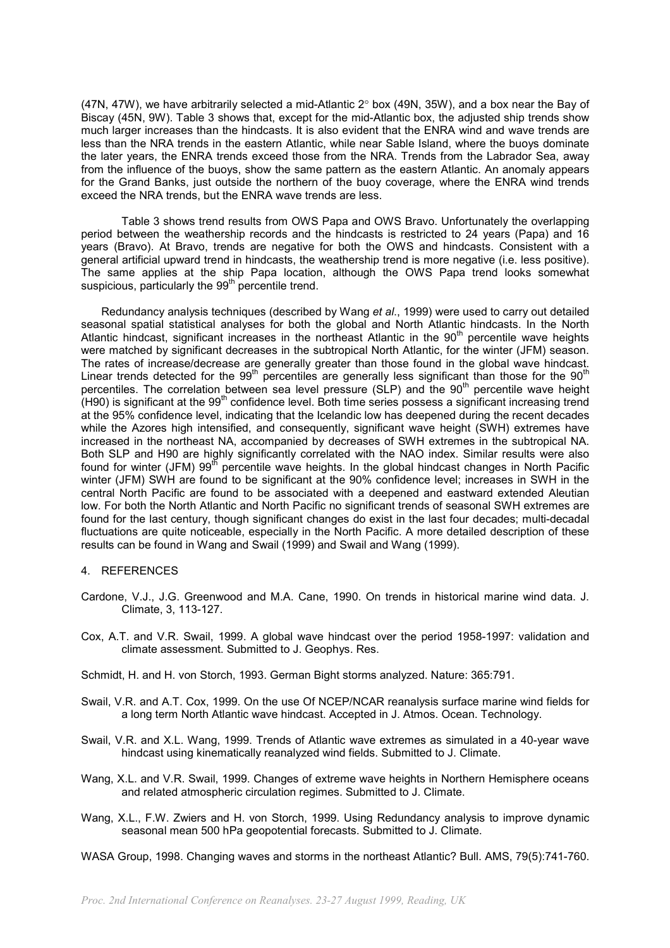(47N, 47W), we have arbitrarily selected a mid-Atlantic 2° box (49N, 35W), and a box near the Bay of Biscay (45N, 9W). Table 3 shows that, except for the mid-Atlantic box, the adjusted ship trends show much larger increases than the hindcasts. It is also evident that the ENRA wind and wave trends are less than the NRA trends in the eastern Atlantic, while near Sable Island, where the buoys dominate the later years, the ENRA trends exceed those from the NRA. Trends from the Labrador Sea, away from the influence of the buoys, show the same pattern as the eastern Atlantic. An anomaly appears for the Grand Banks, just outside the northern of the buoy coverage, where the ENRA wind trends exceed the NRA trends, but the ENRA wave trends are less.

Table 3 shows trend results from OWS Papa and OWS Bravo. Unfortunately the overlapping period between the weathership records and the hindcasts is restricted to 24 years (Papa) and 16 years (Bravo). At Bravo, trends are negative for both the OWS and hindcasts. Consistent with a general artificial upward trend in hindcasts, the weathership trend is more negative (i.e. less positive). The same applies at the ship Papa location, although the OWS Papa trend looks somewhat suspicious, particularly the  $99<sup>th</sup>$  percentile trend.

Redundancy analysis techniques (described by Wang *et al*., 1999) were used to carry out detailed seasonal spatial statistical analyses for both the global and North Atlantic hindcasts. In the North Atlantic hindcast, significant increases in the northeast Atlantic in the 90<sup>th</sup> percentile wave heights were matched by significant decreases in the subtropical North Atlantic, for the winter (JFM) season. The rates of increase/decrease are generally greater than those found in the global wave hindcast. Linear trends detected for the  $99<sup>th</sup>$  percentiles are generally less significant than those for the  $90<sup>th</sup>$ percentiles. The correlation between sea level pressure ( $SLP$ ) and the  $90<sup>th</sup>$  percentile wave height  $(H90)$  is significant at the 99<sup>th</sup> confidence level. Both time series possess a significant increasing trend at the 95% confidence level, indicating that the Icelandic low has deepened during the recent decades while the Azores high intensified, and consequently, significant wave height (SWH) extremes have increased in the northeast NA, accompanied by decreases of SWH extremes in the subtropical NA. Both SLP and H90 are highly significantly correlated with the NAO index. Similar results were also found for winter (JFM) 99<sup>th</sup> percentile wave heights. In the global hindcast changes in North Pacific winter (JFM) SWH are found to be significant at the 90% confidence level; increases in SWH in the central North Pacific are found to be associated with a deepened and eastward extended Aleutian low. For both the North Atlantic and North Pacific no significant trends of seasonal SWH extremes are found for the last century, though significant changes do exist in the last four decades; multi-decadal fluctuations are quite noticeable, especially in the North Pacific. A more detailed description of these results can be found in Wang and Swail (1999) and Swail and Wang (1999).

#### 4. REFERENCES

- Cardone, V.J., J.G. Greenwood and M.A. Cane, 1990. On trends in historical marine wind data. J. Climate, 3, 113-127.
- Cox, A.T. and V.R. Swail, 1999. A global wave hindcast over the period 1958-1997: validation and climate assessment. Submitted to J. Geophys. Res.

Schmidt, H. and H. von Storch, 1993. German Bight storms analyzed. Nature: 365:791.

- Swail, V.R. and A.T. Cox, 1999. On the use Of NCEP/NCAR reanalysis surface marine wind fields for a long term North Atlantic wave hindcast. Accepted in J. Atmos. Ocean. Technology.
- Swail, V.R. and X.L. Wang, 1999. Trends of Atlantic wave extremes as simulated in a 40-year wave hindcast using kinematically reanalyzed wind fields. Submitted to J. Climate.
- Wang, X.L. and V.R. Swail, 1999. Changes of extreme wave heights in Northern Hemisphere oceans and related atmospheric circulation regimes. Submitted to J. Climate.
- Wang, X.L., F.W. Zwiers and H. von Storch, 1999. Using Redundancy analysis to improve dynamic seasonal mean 500 hPa geopotential forecasts. Submitted to J. Climate.

WASA Group, 1998. Changing waves and storms in the northeast Atlantic? Bull. AMS, 79(5):741-760.